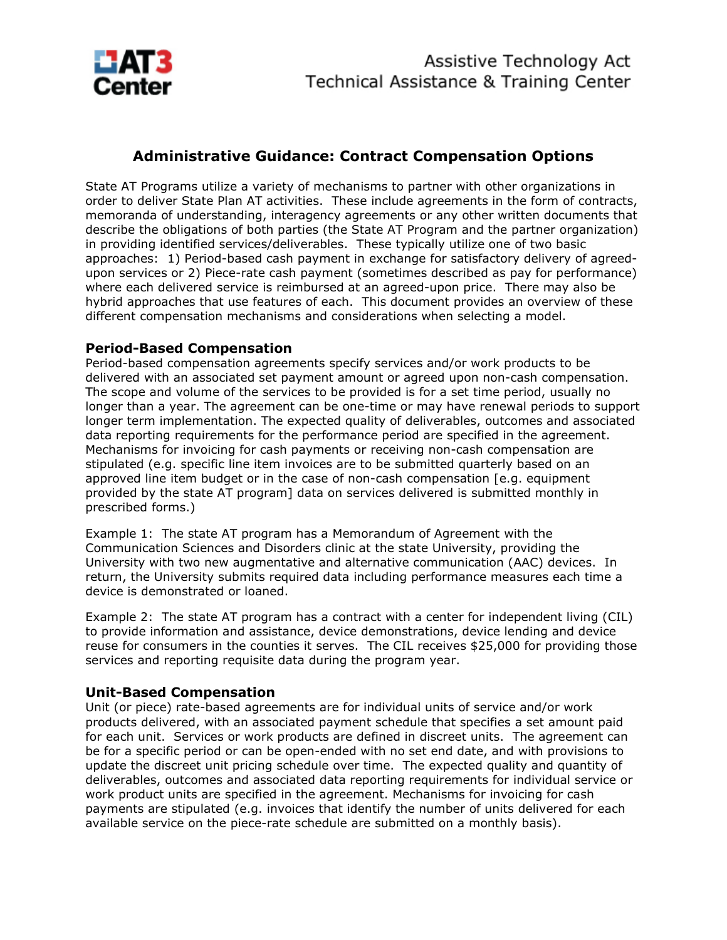

## **Administrative Guidance: Contract Compensation Options**

State AT Programs utilize a variety of mechanisms to partner with other organizations in order to deliver State Plan AT activities. These include agreements in the form of contracts, memoranda of understanding, interagency agreements or any other written documents that describe the obligations of both parties (the State AT Program and the partner organization) in providing identified services/deliverables. These typically utilize one of two basic approaches: 1) Period-based cash payment in exchange for satisfactory delivery of agreedupon services or 2) Piece-rate cash payment (sometimes described as pay for performance) where each delivered service is reimbursed at an agreed-upon price. There may also be hybrid approaches that use features of each. This document provides an overview of these different compensation mechanisms and considerations when selecting a model.

## **Period-Based Compensation**

Period-based compensation agreements specify services and/or work products to be delivered with an associated set payment amount or agreed upon non-cash compensation. The scope and volume of the services to be provided is for a set time period, usually no longer than a year. The agreement can be one-time or may have renewal periods to support longer term implementation. The expected quality of deliverables, outcomes and associated data reporting requirements for the performance period are specified in the agreement. Mechanisms for invoicing for cash payments or receiving non-cash compensation are stipulated (e.g. specific line item invoices are to be submitted quarterly based on an approved line item budget or in the case of non-cash compensation [e.g. equipment provided by the state AT program] data on services delivered is submitted monthly in prescribed forms.)

Example 1: The state AT program has a Memorandum of Agreement with the Communication Sciences and Disorders clinic at the state University, providing the University with two new augmentative and alternative communication (AAC) devices. In return, the University submits required data including performance measures each time a device is demonstrated or loaned.

Example 2: The state AT program has a contract with a center for independent living (CIL) to provide information and assistance, device demonstrations, device lending and device reuse for consumers in the counties it serves. The CIL receives \$25,000 for providing those services and reporting requisite data during the program year.

## **Unit-Based Compensation**

Unit (or piece) rate-based agreements are for individual units of service and/or work products delivered, with an associated payment schedule that specifies a set amount paid for each unit. Services or work products are defined in discreet units. The agreement can be for a specific period or can be open-ended with no set end date, and with provisions to update the discreet unit pricing schedule over time. The expected quality and quantity of deliverables, outcomes and associated data reporting requirements for individual service or work product units are specified in the agreement. Mechanisms for invoicing for cash payments are stipulated (e.g. invoices that identify the number of units delivered for each available service on the piece-rate schedule are submitted on a monthly basis).